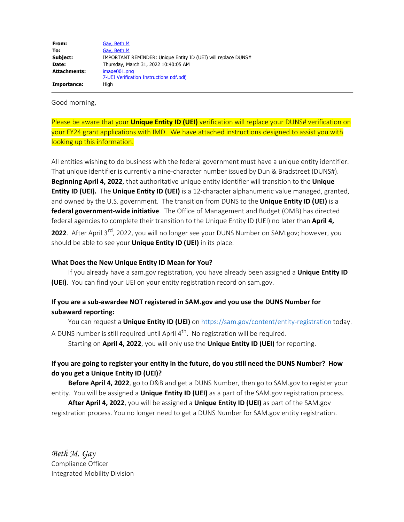| From:               | Gay, Beth M                                                   |
|---------------------|---------------------------------------------------------------|
| To:                 | Gay, Beth M                                                   |
| Subject:            | IMPORTANT REMINDER: Unique Entity ID (UEI) will replace DUNS# |
| Date:               | Thursday, March 31, 2022 10:40:05 AM                          |
| <b>Attachments:</b> | image001.png                                                  |
|                     | 7-UEI Verification Instructions pdf.pdf                       |
| Importance:         | Hiah                                                          |

Good morning,

Please be aware that your **Unique Entity ID (UEI)** verification will replace your DUNS# verification on your FY24 grant applications with IMD. We have attached instructions designed to assist you with looking up this information.

All entities wishing to do business with the federal government must have a unique entity identifier. That unique identifier is currently a nine-character number issued by Dun & Bradstreet (DUNS#). **Beginning April 4, 2022**, that authoritative unique entity identifier will transition to the **Unique Entity ID (UEI).** The **Unique Entity ID (UEI)** is a 12-character alphanumeric value managed, granted, and owned by the U.S. government. The transition from DUNS to the **Unique Entity ID (UEI)** is a **federal government-wide initiative**. The Office of Management and Budget (OMB) has directed federal agencies to complete their transition to the Unique Entity ID (UEI) no later than **April 4, 2022**. After April 3rd, 2022, you will no longer see your DUNS Number on SAM.gov; however, you should be able to see your **Unique Entity ID (UEI)** in its place.

## **What Does the New Unique Entity ID Mean for You?**

If you already have a sam.gov registration, you have already been assigned a **Unique Entity ID (UEI)**. You can find your UEI on your entity registration record on sam.gov.

## **If you are a sub-awardee NOT registered in SAM.gov and you use the DUNS Number for subaward reporting:**

You can request a Unique Entity ID (UEI) on<https://sam.gov/content/entity-registration> today. A DUNS number is still required until April  $4<sup>th</sup>$ . No registration will be required. Starting on **April 4, 2022**, you will only use the **Unique Entity ID (UEI)** for reporting.

## **If you are going to register your entity in the future, do you still need the DUNS Number? How do you get a Unique Entity ID (UEI)?**

 **Before April 4, 2022**, go to D&B and get a DUNS Number, then go to SAM.gov to register your entity. You will be assigned a **Unique Entity ID (UEI)** as a part of the SAM.gov registration process.

 **After April 4, 2022**, you will be assigned a **Unique Entity ID (UEI)** as part of the SAM.gov registration process. You no longer need to get a DUNS Number for SAM.gov entity registration.

*Beth M. Gay* Compliance Officer Integrated Mobility Division